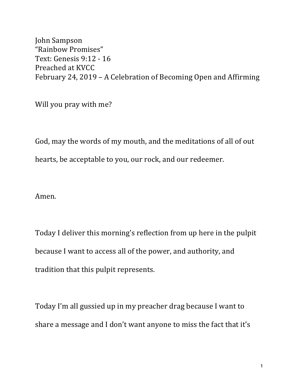John Sampson "Rainbow Promises" Text: Genesis 9:12 - 16 Preached at KVCC February 24, 2019 - A Celebration of Becoming Open and Affirming

Will you pray with me?

God, may the words of my mouth, and the meditations of all of out hearts, be acceptable to you, our rock, and our redeemer.

Amen.

Today I deliver this morning's reflection from up here in the pulpit because I want to access all of the power, and authority, and tradition that this pulpit represents.

Today I'm all gussied up in my preacher drag because I want to share a message and I don't want anyone to miss the fact that it's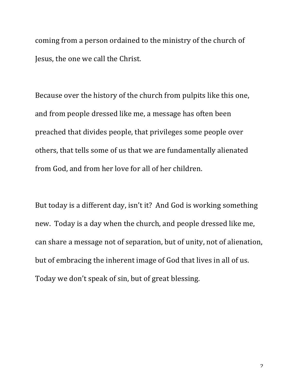coming from a person ordained to the ministry of the church of Jesus, the one we call the Christ.

Because over the history of the church from pulpits like this one, and from people dressed like me, a message has often been preached that divides people, that privileges some people over others, that tells some of us that we are fundamentally alienated from God, and from her love for all of her children.

But today is a different day, isn't it? And God is working something new. Today is a day when the church, and people dressed like me, can share a message not of separation, but of unity, not of alienation, but of embracing the inherent image of God that lives in all of us. Today we don't speak of sin, but of great blessing.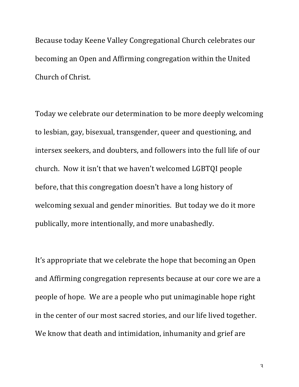Because today Keene Valley Congregational Church celebrates our becoming an Open and Affirming congregation within the United Church of Christ.

Today we celebrate our determination to be more deeply welcoming to lesbian, gay, bisexual, transgender, queer and questioning, and intersex seekers, and doubters, and followers into the full life of our church. Now it isn't that we haven't welcomed LGBTQI people before, that this congregation doesn't have a long history of welcoming sexual and gender minorities. But today we do it more publically, more intentionally, and more unabashedly.

It's appropriate that we celebrate the hope that becoming an Open and Affirming congregation represents because at our core we are a people of hope. We are a people who put unimaginable hope right in the center of our most sacred stories, and our life lived together. We know that death and intimidation, inhumanity and grief are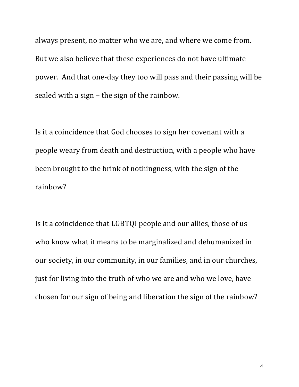always present, no matter who we are, and where we come from. But we also believe that these experiences do not have ultimate power. And that one-day they too will pass and their passing will be sealed with a sign  $-$  the sign of the rainbow.

Is it a coincidence that God chooses to sign her covenant with a people weary from death and destruction, with a people who have been brought to the brink of nothingness, with the sign of the rainbow?

Is it a coincidence that LGBTQI people and our allies, those of us who know what it means to be marginalized and dehumanized in our society, in our community, in our families, and in our churches, just for living into the truth of who we are and who we love, have chosen for our sign of being and liberation the sign of the rainbow?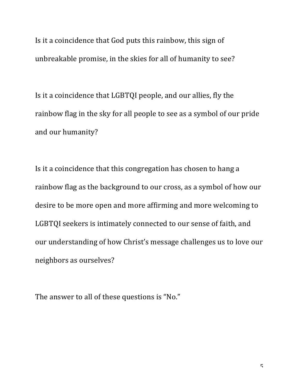Is it a coincidence that God puts this rainbow, this sign of unbreakable promise, in the skies for all of humanity to see?

Is it a coincidence that LGBTQI people, and our allies, fly the rainbow flag in the sky for all people to see as a symbol of our pride and our humanity?

Is it a coincidence that this congregation has chosen to hang a rainbow flag as the background to our cross, as a symbol of how our desire to be more open and more affirming and more welcoming to LGBTQI seekers is intimately connected to our sense of faith, and our understanding of how Christ's message challenges us to love our neighbors as ourselves?

The answer to all of these questions is "No."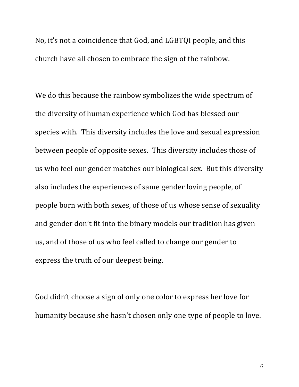No, it's not a coincidence that God, and LGBTQI people, and this church have all chosen to embrace the sign of the rainbow.

We do this because the rainbow symbolizes the wide spectrum of the diversity of human experience which God has blessed our species with. This diversity includes the love and sexual expression between people of opposite sexes. This diversity includes those of us who feel our gender matches our biological sex. But this diversity also includes the experiences of same gender loving people, of people born with both sexes, of those of us whose sense of sexuality and gender don't fit into the binary models our tradition has given us, and of those of us who feel called to change our gender to express the truth of our deepest being.

God didn't choose a sign of only one color to express her love for humanity because she hasn't chosen only one type of people to love.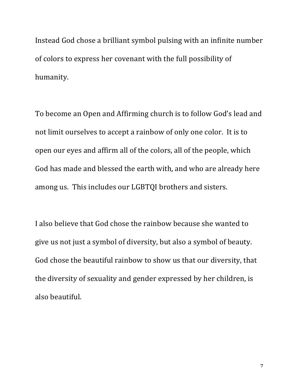Instead God chose a brilliant symbol pulsing with an infinite number of colors to express her covenant with the full possibility of humanity. 

To become an Open and Affirming church is to follow God's lead and not limit ourselves to accept a rainbow of only one color. It is to open our eyes and affirm all of the colors, all of the people, which God has made and blessed the earth with, and who are already here among us. This includes our LGBTQI brothers and sisters.

I also believe that God chose the rainbow because she wanted to give us not just a symbol of diversity, but also a symbol of beauty. God chose the beautiful rainbow to show us that our diversity, that the diversity of sexuality and gender expressed by her children, is also beautiful.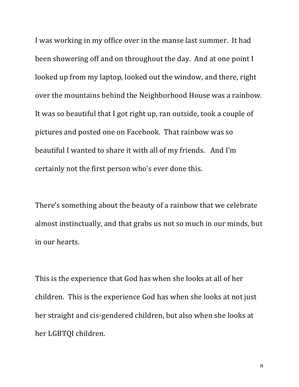I was working in my office over in the manse last summer. It had been showering off and on throughout the day. And at one point I looked up from my laptop, looked out the window, and there, right over the mountains behind the Neighborhood House was a rainbow. It was so beautiful that I got right up, ran outside, took a couple of pictures and posted one on Facebook. That rainbow was so beautiful I wanted to share it with all of my friends. And I'm certainly not the first person who's ever done this.

There's something about the beauty of a rainbow that we celebrate almost instinctually, and that grabs us not so much in our minds, but in our hearts.

This is the experience that God has when she looks at all of her children. This is the experience God has when she looks at not just her straight and cis-gendered children, but also when she looks at her LGBTOI children.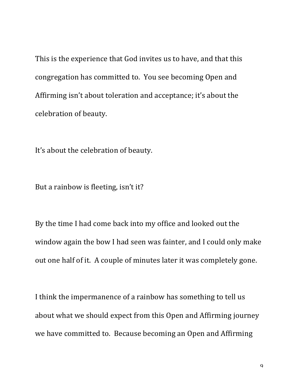This is the experience that God invites us to have, and that this congregation has committed to. You see becoming Open and Affirming isn't about toleration and acceptance; it's about the celebration of beauty.

It's about the celebration of beauty.

But a rainbow is fleeting, isn't it?

By the time I had come back into my office and looked out the window again the bow I had seen was fainter, and I could only make out one half of it. A couple of minutes later it was completely gone.

I think the impermanence of a rainbow has something to tell us about what we should expect from this Open and Affirming journey we have committed to. Because becoming an Open and Affirming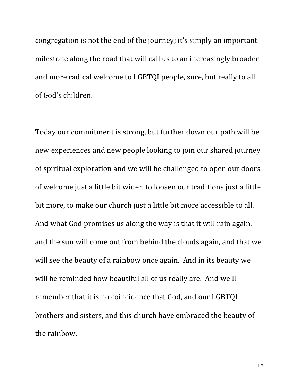congregation is not the end of the journey; it's simply an important milestone along the road that will call us to an increasingly broader and more radical welcome to LGBTQI people, sure, but really to all of God's children.

Today our commitment is strong, but further down our path will be new experiences and new people looking to join our shared journey of spiritual exploration and we will be challenged to open our doors of welcome just a little bit wider, to loosen our traditions just a little bit more, to make our church just a little bit more accessible to all. And what God promises us along the way is that it will rain again, and the sun will come out from behind the clouds again, and that we will see the beauty of a rainbow once again. And in its beauty we will be reminded how beautiful all of us really are. And we'll remember that it is no coincidence that God, and our LGBTQI brothers and sisters, and this church have embraced the beauty of the rainbow.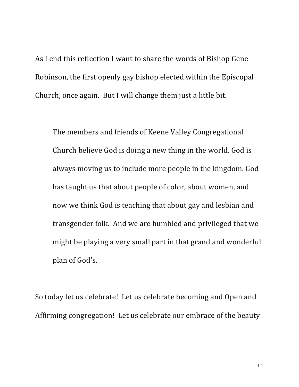As I end this reflection I want to share the words of Bishop Gene Robinson, the first openly gay bishop elected within the Episcopal Church, once again. But I will change them just a little bit.

The members and friends of Keene Valley Congregational Church believe God is doing a new thing in the world. God is always moving us to include more people in the kingdom. God has taught us that about people of color, about women, and now we think God is teaching that about gay and lesbian and transgender folk. And we are humbled and privileged that we might be playing a very small part in that grand and wonderful plan of God's.

So today let us celebrate! Let us celebrate becoming and Open and Affirming congregation! Let us celebrate our embrace of the beauty